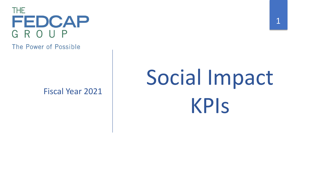

The Power of Possible

Fiscal Year 2021

# Social Impact KPIs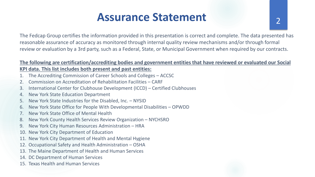#### **Assurance Statement** 2

The Fedcap Group certifies the information provided in this presentation is correct and complete. The data presented has reasonable assurance of accuracy as monitored through internal quality review mechanisms and/or through formal review or evaluation by a 3rd party, such as a Federal, State, or Municipal Government when required by our contracts.

#### **The following are certification/accrediting bodies and government entities that have reviewed or evaluated our Social KPI data. This list includes both present and past entities:**

- 1. The Accrediting Commission of Career Schools and Colleges ACCSC
- 2. Commission on Accreditation of Rehabilitation Facilities CARF
- 3. International Center for Clubhouse Development (ICCD) Certified Clubhouses
- 4. New York State Education Department
- 5. New York State Industries for the Disabled, Inc. NYSID
- 6. New York State Office for People With Developmental Disabilities OPWDD
- 7. New York State Office of Mental Health
- 8. New York County Health Services Review Organization NYCHSRO
- 9. New York City Human Resources Administration HRA
- 10. New York City Department of Education
- 11. New York City Department of Health and Mental Hygiene
- 12. Occupational Safety and Health Administration OSHA
- 13. The Maine Department of Health and Human Services
- 14. DC Department of Human Services
- 15. Texas Health and Human Services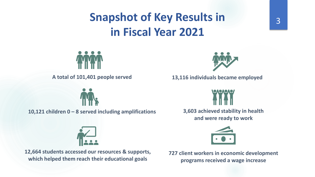#### **Snapshot of Key Results in in Fiscal Year 2021**



**A total of 101,401 people served** 

**10,121 children 0 – 8 served including amplifications 3,603 achieved stability in health** 



**12,664 students accessed our resources & supports, which helped them reach their educational goals**



**13,116 individuals became employed** 



**and were ready to work** 



**727 client workers in economic development programs received a wage increase**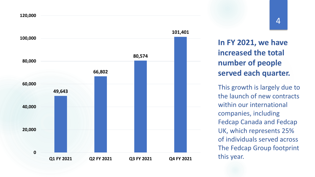

**In FY 2021, we have increased the total number of people served each quarter.**

This growth is largely due to the launch of new contracts within our international companies, including Fedcap Canada and Fedcap UK, which represents 25% of individuals served across The Fedcap Group footprint this year.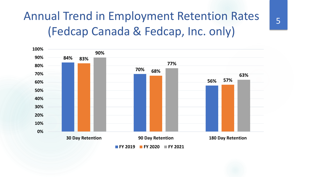### Annual Trend in Employment Retention Rates (Fedcap Canada & Fedcap, Inc. only)





5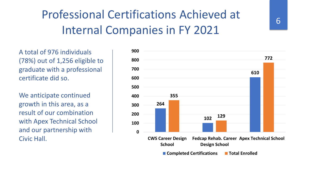## Professional Certifications Achieved at Internal Companies in FY 2021

A total of 976 individuals (78%) out of 1,256 eligible to graduate with a professional certificate did so.

We anticipate continued growth in this area, as a result of our combination with Apex Technical School and our partnership with Civic Hall.

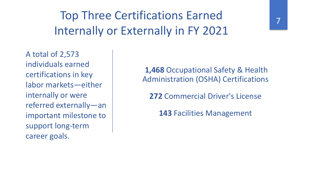Top Three Certifications Earned Internally or Externally in FY 2021

A total of 2,573 individuals earned certifications in key labor markets—either internally or were referred externally—an important milestone to support long-term career goals.

**1,468** Occupational Safety & Health Administration (OSHA) Certifications

**272** Commercial Driver's License

**143** Facilities Management